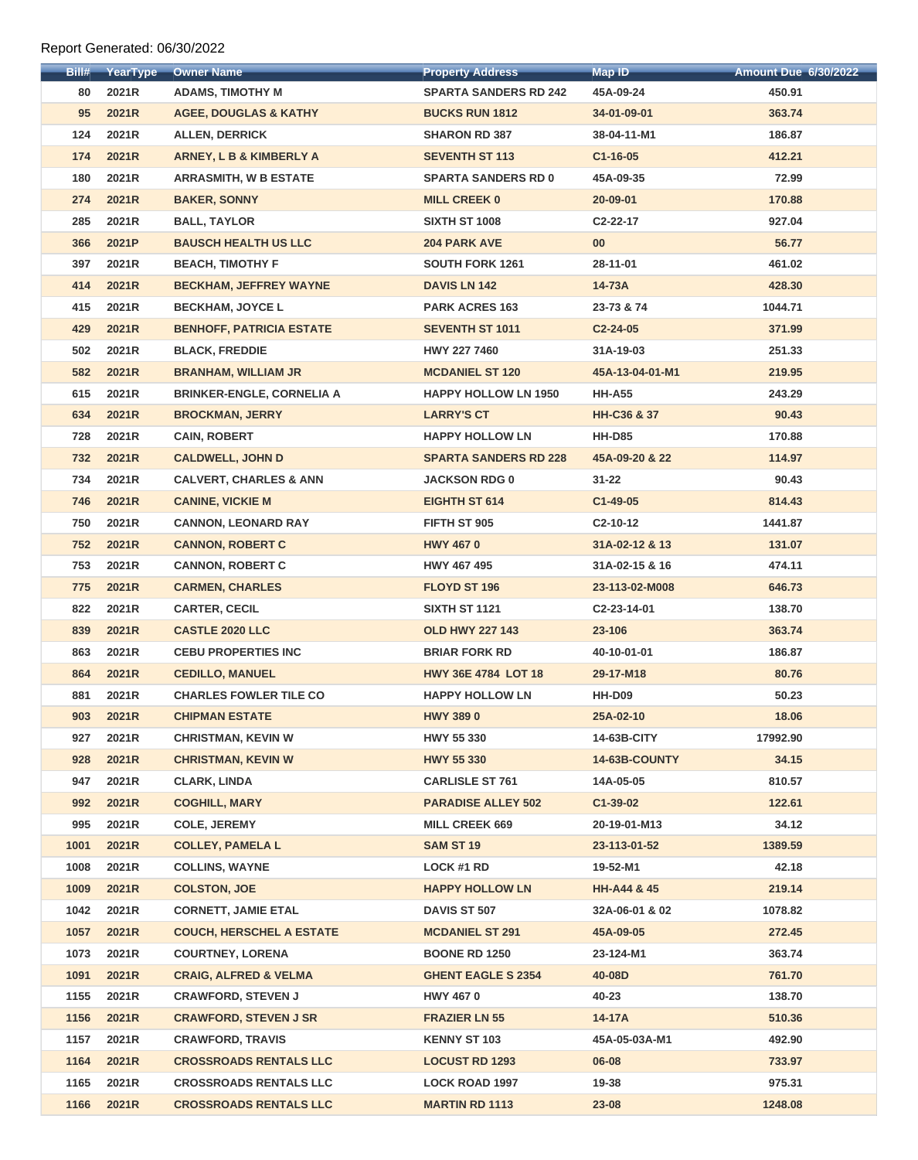## Report Generated: 06/30/2022

| Bill# | YearType | <b>Owner Name</b>                  | <b>Property Address</b>      | <b>Map ID</b>          | <b>Amount Due 6/30/2022</b> |
|-------|----------|------------------------------------|------------------------------|------------------------|-----------------------------|
| 80    | 2021R    | <b>ADAMS, TIMOTHY M</b>            | <b>SPARTA SANDERS RD 242</b> | 45A-09-24              | 450.91                      |
| 95    | 2021R    | <b>AGEE, DOUGLAS &amp; KATHY</b>   | <b>BUCKS RUN 1812</b>        | 34-01-09-01            | 363.74                      |
| 124   | 2021R    | <b>ALLEN, DERRICK</b>              | <b>SHARON RD 387</b>         | 38-04-11-M1            | 186.87                      |
| 174   | 2021R    | <b>ARNEY, L B &amp; KIMBERLY A</b> | <b>SEVENTH ST 113</b>        | $C1 - 16 - 05$         | 412.21                      |
| 180   | 2021R    | <b>ARRASMITH, W B ESTATE</b>       | <b>SPARTA SANDERS RD 0</b>   | 45A-09-35              | 72.99                       |
| 274   | 2021R    | <b>BAKER, SONNY</b>                | <b>MILL CREEK 0</b>          | 20-09-01               | 170.88                      |
| 285   | 2021R    | <b>BALL, TAYLOR</b>                | <b>SIXTH ST 1008</b>         | C <sub>2</sub> -22-17  | 927.04                      |
| 366   | 2021P    | <b>BAUSCH HEALTH US LLC</b>        | <b>204 PARK AVE</b>          | 00 <sub>o</sub>        | 56.77                       |
| 397   | 2021R    | <b>BEACH, TIMOTHY F</b>            | <b>SOUTH FORK 1261</b>       | 28-11-01               | 461.02                      |
| 414   | 2021R    | <b>BECKHAM, JEFFREY WAYNE</b>      | <b>DAVIS LN 142</b>          | 14-73A                 | 428.30                      |
| 415   | 2021R    | <b>BECKHAM, JOYCE L</b>            | <b>PARK ACRES 163</b>        | 23-73 & 74             | 1044.71                     |
| 429   | 2021R    | <b>BENHOFF, PATRICIA ESTATE</b>    | <b>SEVENTH ST 1011</b>       | $C2 - 24 - 05$         | 371.99                      |
| 502   | 2021R    | <b>BLACK, FREDDIE</b>              | <b>HWY 227 7460</b>          | 31A-19-03              | 251.33                      |
| 582   | 2021R    | <b>BRANHAM, WILLIAM JR</b>         | <b>MCDANIEL ST 120</b>       | 45A-13-04-01-M1        | 219.95                      |
| 615   | 2021R    | <b>BRINKER-ENGLE, CORNELIA A</b>   | <b>HAPPY HOLLOW LN 1950</b>  | <b>HH-A55</b>          | 243.29                      |
| 634   | 2021R    | <b>BROCKMAN, JERRY</b>             | <b>LARRY'S CT</b>            | HH-C36 & 37            | 90.43                       |
| 728   | 2021R    | <b>CAIN, ROBERT</b>                | <b>HAPPY HOLLOW LN</b>       | <b>HH-D85</b>          | 170.88                      |
| 732   | 2021R    | <b>CALDWELL, JOHN D</b>            | <b>SPARTA SANDERS RD 228</b> | 45A-09-20 & 22         | 114.97                      |
| 734   | 2021R    | <b>CALVERT, CHARLES &amp; ANN</b>  | <b>JACKSON RDG 0</b>         | $31 - 22$              | 90.43                       |
| 746   | 2021R    | <b>CANINE, VICKIE M</b>            | <b>EIGHTH ST 614</b>         | $C1-49-05$             | 814.43                      |
| 750   | 2021R    | <b>CANNON, LEONARD RAY</b>         | FIFTH ST 905                 | C <sub>2</sub> -10-12  | 1441.87                     |
| 752   | 2021R    | <b>CANNON, ROBERT C</b>            | <b>HWY 4670</b>              | 31A-02-12 & 13         | 131.07                      |
| 753   | 2021R    | <b>CANNON, ROBERT C</b>            | <b>HWY 467 495</b>           | 31A-02-15 & 16         | 474.11                      |
| 775   | 2021R    | <b>CARMEN, CHARLES</b>             | <b>FLOYD ST 196</b>          | 23-113-02-M008         | 646.73                      |
| 822   | 2021R    | <b>CARTER, CECIL</b>               | <b>SIXTH ST 1121</b>         | C2-23-14-01            | 138.70                      |
| 839   | 2021R    | <b>CASTLE 2020 LLC</b>             | <b>OLD HWY 227 143</b>       | 23-106                 | 363.74                      |
| 863   | 2021R    | <b>CEBU PROPERTIES INC</b>         | <b>BRIAR FORK RD</b>         | 40-10-01-01            | 186.87                      |
| 864   | 2021R    | <b>CEDILLO, MANUEL</b>             | <b>HWY 36E 4784 LOT 18</b>   | 29-17-M18              | 80.76                       |
| 881   | 2021R    | <b>CHARLES FOWLER TILE CO</b>      | <b>HAPPY HOLLOW LN</b>       | <b>HH-D09</b>          | 50.23                       |
| 903   | 2021R    | <b>CHIPMAN ESTATE</b>              | <b>HWY 3890</b>              | 25A-02-10              | 18.06                       |
| 927   | 2021R    | <b>CHRISTMAN, KEVIN W</b>          | <b>HWY 55 330</b>            | 14-63B-CITY            | 17992.90                    |
| 928   | 2021R    | <b>CHRISTMAN, KEVIN W</b>          | <b>HWY 55 330</b>            | 14-63B-COUNTY          | 34.15                       |
| 947   | 2021R    | <b>CLARK, LINDA</b>                | <b>CARLISLE ST 761</b>       | 14A-05-05              | 810.57                      |
| 992   | 2021R    | <b>COGHILL, MARY</b>               | <b>PARADISE ALLEY 502</b>    | $C1-39-02$             | 122.61                      |
| 995   | 2021R    | <b>COLE, JEREMY</b>                | <b>MILL CREEK 669</b>        | 20-19-01-M13           | 34.12                       |
| 1001  | 2021R    | <b>COLLEY, PAMELA L</b>            | <b>SAM ST 19</b>             | 23-113-01-52           | 1389.59                     |
| 1008  | 2021R    | <b>COLLINS, WAYNE</b>              | <b>LOCK #1 RD</b>            | 19-52-M1               | 42.18                       |
| 1009  | 2021R    | <b>COLSTON, JOE</b>                | <b>HAPPY HOLLOW LN</b>       | <b>HH-A44 &amp; 45</b> | 219.14                      |
| 1042  | 2021R    | <b>CORNETT, JAMIE ETAL</b>         | <b>DAVIS ST 507</b>          | 32A-06-01 & 02         | 1078.82                     |
| 1057  | 2021R    | <b>COUCH, HERSCHEL A ESTATE</b>    | <b>MCDANIEL ST 291</b>       | 45A-09-05              | 272.45                      |
| 1073  | 2021R    | <b>COURTNEY, LORENA</b>            | <b>BOONE RD 1250</b>         | 23-124-M1              | 363.74                      |
| 1091  | 2021R    | <b>CRAIG, ALFRED &amp; VELMA</b>   | <b>GHENT EAGLE S 2354</b>    | 40-08D                 | 761.70                      |
| 1155  | 2021R    | <b>CRAWFORD, STEVEN J</b>          | <b>HWY 4670</b>              | 40-23                  | 138.70                      |
| 1156  | 2021R    | <b>CRAWFORD, STEVEN J SR</b>       | <b>FRAZIER LN 55</b>         | 14-17A                 | 510.36                      |
| 1157  | 2021R    | <b>CRAWFORD, TRAVIS</b>            | <b>KENNY ST 103</b>          | 45A-05-03A-M1          | 492.90                      |
| 1164  | 2021R    | <b>CROSSROADS RENTALS LLC</b>      | <b>LOCUST RD 1293</b>        | 06-08                  | 733.97                      |
| 1165  | 2021R    | <b>CROSSROADS RENTALS LLC</b>      | <b>LOCK ROAD 1997</b>        | 19-38                  | 975.31                      |
| 1166  | 2021R    | <b>CROSSROADS RENTALS LLC</b>      | <b>MARTIN RD 1113</b>        | 23-08                  | 1248.08                     |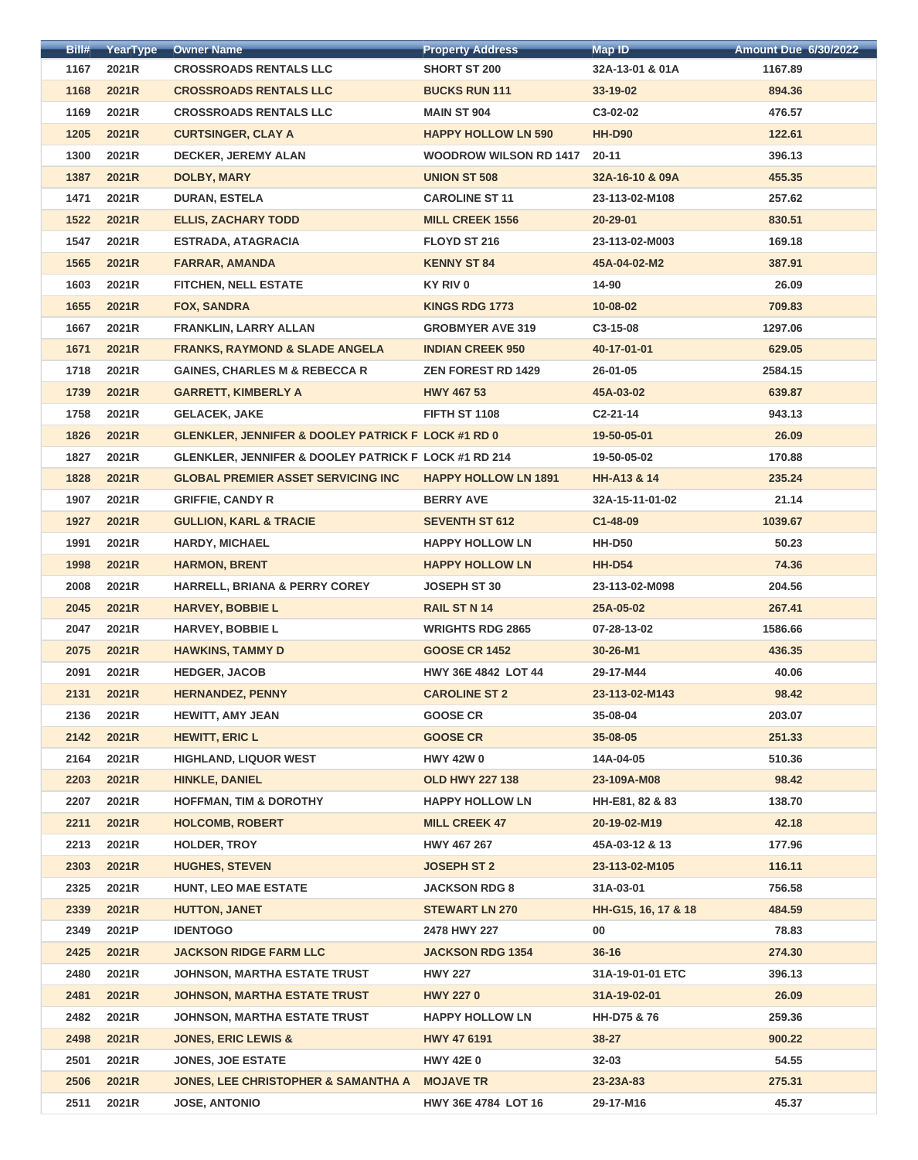| Bill# | YearType | <b>Owner Name</b>                                             | <b>Property Address</b>       | <b>Map ID</b>          | <b>Amount Due 6/30/2022</b> |
|-------|----------|---------------------------------------------------------------|-------------------------------|------------------------|-----------------------------|
| 1167  | 2021R    | <b>CROSSROADS RENTALS LLC</b>                                 | <b>SHORT ST 200</b>           | 32A-13-01 & 01A        | 1167.89                     |
| 1168  | 2021R    | <b>CROSSROADS RENTALS LLC</b>                                 | <b>BUCKS RUN 111</b>          | $33 - 19 - 02$         | 894.36                      |
| 1169  | 2021R    | <b>CROSSROADS RENTALS LLC</b>                                 | <b>MAIN ST 904</b>            | C3-02-02               | 476.57                      |
| 1205  | 2021R    | <b>CURTSINGER, CLAY A</b>                                     | <b>HAPPY HOLLOW LN 590</b>    | <b>HH-D90</b>          | 122.61                      |
| 1300  | 2021R    | <b>DECKER, JEREMY ALAN</b>                                    | <b>WOODROW WILSON RD 1417</b> | $20 - 11$              | 396.13                      |
| 1387  | 2021R    | <b>DOLBY, MARY</b>                                            | <b>UNION ST 508</b>           | 32A-16-10 & 09A        | 455.35                      |
| 1471  | 2021R    | <b>DURAN, ESTELA</b>                                          | <b>CAROLINE ST 11</b>         | 23-113-02-M108         | 257.62                      |
| 1522  | 2021R    | <b>ELLIS, ZACHARY TODD</b>                                    | <b>MILL CREEK 1556</b>        | 20-29-01               | 830.51                      |
| 1547  | 2021R    | <b>ESTRADA, ATAGRACIA</b>                                     | FLOYD ST 216                  | 23-113-02-M003         | 169.18                      |
| 1565  | 2021R    | <b>FARRAR, AMANDA</b>                                         | <b>KENNY ST 84</b>            | 45A-04-02-M2           | 387.91                      |
| 1603  | 2021R    | <b>FITCHEN, NELL ESTATE</b>                                   | KY RIV 0                      | 14-90                  | 26.09                       |
| 1655  | 2021R    | <b>FOX, SANDRA</b>                                            | <b>KINGS RDG 1773</b>         | $10 - 08 - 02$         | 709.83                      |
| 1667  | 2021R    | <b>FRANKLIN, LARRY ALLAN</b>                                  | <b>GROBMYER AVE 319</b>       | C3-15-08               | 1297.06                     |
| 1671  | 2021R    | <b>FRANKS, RAYMOND &amp; SLADE ANGELA</b>                     | <b>INDIAN CREEK 950</b>       | 40-17-01-01            | 629.05                      |
| 1718  | 2021R    | <b>GAINES, CHARLES M &amp; REBECCA R</b>                      | <b>ZEN FOREST RD 1429</b>     | $26 - 01 - 05$         | 2584.15                     |
|       |          |                                                               |                               |                        |                             |
| 1739  | 2021R    | <b>GARRETT, KIMBERLY A</b>                                    | <b>HWY 467 53</b>             | 45A-03-02              | 639.87                      |
| 1758  | 2021R    | <b>GELACEK, JAKE</b>                                          | FIFTH ST 1108                 | $C2 - 21 - 14$         | 943.13                      |
| 1826  | 2021R    | <b>GLENKLER, JENNIFER &amp; DOOLEY PATRICK F LOCK #1 RD 0</b> |                               | 19-50-05-01            | 26.09                       |
| 1827  | 2021R    | GLENKLER, JENNIFER & DOOLEY PATRICK F LOCK #1 RD 214          |                               | 19-50-05-02            | 170.88                      |
| 1828  | 2021R    | <b>GLOBAL PREMIER ASSET SERVICING INC</b>                     | <b>HAPPY HOLLOW LN 1891</b>   | <b>HH-A13 &amp; 14</b> | 235.24                      |
| 1907  | 2021R    | <b>GRIFFIE, CANDY R</b>                                       | <b>BERRY AVE</b>              | 32A-15-11-01-02        | 21.14                       |
| 1927  | 2021R    | <b>GULLION, KARL &amp; TRACIE</b>                             | <b>SEVENTH ST 612</b>         | $C1 - 48 - 09$         | 1039.67                     |
| 1991  | 2021R    | <b>HARDY, MICHAEL</b>                                         | <b>HAPPY HOLLOW LN</b>        | <b>HH-D50</b>          | 50.23                       |
| 1998  | 2021R    | <b>HARMON, BRENT</b>                                          | <b>HAPPY HOLLOW LN</b>        | <b>HH-D54</b>          | 74.36                       |
| 2008  | 2021R    | <b>HARRELL, BRIANA &amp; PERRY COREY</b>                      | <b>JOSEPH ST 30</b>           | 23-113-02-M098         | 204.56                      |
| 2045  | 2021R    | <b>HARVEY, BOBBIE L</b>                                       | <b>RAIL ST N 14</b>           | 25A-05-02              | 267.41                      |
| 2047  | 2021R    | <b>HARVEY, BOBBIE L</b>                                       | <b>WRIGHTS RDG 2865</b>       | 07-28-13-02            | 1586.66                     |
| 2075  | 2021R    | <b>HAWKINS, TAMMY D</b>                                       | <b>GOOSE CR 1452</b>          | 30-26-M1               | 436.35                      |
| 2091  | 2021R    | <b>HEDGER, JACOB</b>                                          | <b>HWY 36E 4842 LOT 44</b>    | 29-17-M44              | 40.06                       |
| 2131  | 2021R    | <b>HERNANDEZ, PENNY</b>                                       | <b>CAROLINE ST 2</b>          | 23-113-02-M143         | 98.42                       |
| 2136  | 2021R    | <b>HEWITT, AMY JEAN</b>                                       | <b>GOOSE CR</b>               | 35-08-04               | 203.07                      |
| 2142  | 2021R    | <b>HEWITT, ERIC L</b>                                         | <b>GOOSE CR</b>               | 35-08-05               | 251.33                      |
| 2164  | 2021R    | <b>HIGHLAND, LIQUOR WEST</b>                                  | <b>HWY 42W 0</b>              | 14A-04-05              | 510.36                      |
| 2203  | 2021R    | <b>HINKLE, DANIEL</b>                                         | <b>OLD HWY 227 138</b>        | 23-109A-M08            | 98.42                       |
| 2207  | 2021R    | <b>HOFFMAN, TIM &amp; DOROTHY</b>                             | <b>HAPPY HOLLOW LN</b>        | HH-E81, 82 & 83        | 138.70                      |
| 2211  | 2021R    | <b>HOLCOMB, ROBERT</b>                                        | <b>MILL CREEK 47</b>          | 20-19-02-M19           | 42.18                       |
| 2213  | 2021R    | <b>HOLDER, TROY</b>                                           | <b>HWY 467 267</b>            | 45A-03-12 & 13         | 177.96                      |
| 2303  | 2021R    | <b>HUGHES, STEVEN</b>                                         | <b>JOSEPH ST 2</b>            | 23-113-02-M105         | 116.11                      |
| 2325  | 2021R    | <b>HUNT, LEO MAE ESTATE</b>                                   | <b>JACKSON RDG 8</b>          | 31A-03-01              | 756.58                      |
| 2339  | 2021R    | <b>HUTTON, JANET</b>                                          | <b>STEWART LN 270</b>         | HH-G15, 16, 17 & 18    | 484.59                      |
| 2349  | 2021P    | <b>IDENTOGO</b>                                               | 2478 HWY 227                  | $00\,$                 | 78.83                       |
| 2425  | 2021R    | <b>JACKSON RIDGE FARM LLC</b>                                 | <b>JACKSON RDG 1354</b>       | $36 - 16$              | 274.30                      |
| 2480  | 2021R    | <b>JOHNSON, MARTHA ESTATE TRUST</b>                           | <b>HWY 227</b>                | 31A-19-01-01 ETC       | 396.13                      |
| 2481  | 2021R    | <b>JOHNSON, MARTHA ESTATE TRUST</b>                           | <b>HWY 2270</b>               | 31A-19-02-01           | 26.09                       |
| 2482  | 2021R    | <b>JOHNSON, MARTHA ESTATE TRUST</b>                           | <b>HAPPY HOLLOW LN</b>        | HH-D75 & 76            | 259.36                      |
| 2498  | 2021R    | <b>JONES, ERIC LEWIS &amp;</b>                                | <b>HWY 47 6191</b>            | 38-27                  | 900.22                      |
| 2501  | 2021R    | <b>JONES, JOE ESTATE</b>                                      | <b>HWY 42E 0</b>              | $32 - 03$              | 54.55                       |
| 2506  | 2021R    | JONES, LEE CHRISTOPHER & SAMANTHA A MOJAVE TR                 |                               | 23-23A-83              | 275.31                      |
|       |          |                                                               |                               |                        |                             |
| 2511  | 2021R    | <b>JOSE, ANTONIO</b>                                          | HWY 36E 4784 LOT 16           | 29-17-M16              | 45.37                       |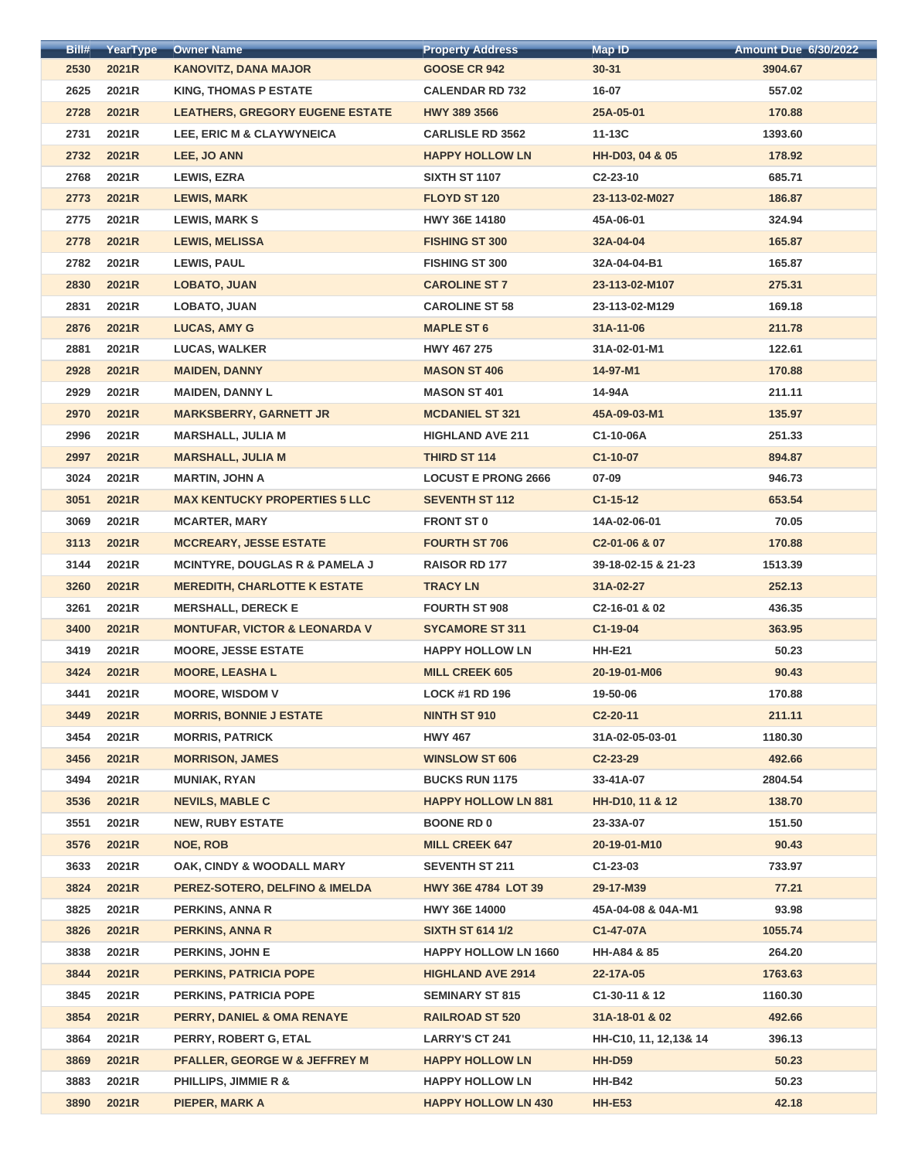| Bill# | YearType | <b>Owner Name</b>                         | <b>Property Address</b>     | <b>Map ID</b>              | <b>Amount Due 6/30/2022</b> |
|-------|----------|-------------------------------------------|-----------------------------|----------------------------|-----------------------------|
| 2530  | 2021R    | <b>KANOVITZ, DANA MAJOR</b>               | <b>GOOSE CR 942</b>         | $30 - 31$                  | 3904.67                     |
| 2625  | 2021R    | <b>KING, THOMAS P ESTATE</b>              | <b>CALENDAR RD 732</b>      | 16-07                      | 557.02                      |
| 2728  | 2021R    | <b>LEATHERS, GREGORY EUGENE ESTATE</b>    | <b>HWY 389 3566</b>         | 25A-05-01                  | 170.88                      |
| 2731  | 2021R    | LEE, ERIC M & CLAYWYNEICA                 | <b>CARLISLE RD 3562</b>     | $11-13C$                   | 1393.60                     |
| 2732  | 2021R    | LEE, JO ANN                               | <b>HAPPY HOLLOW LN</b>      | HH-D03, 04 & 05            | 178.92                      |
| 2768  | 2021R    | <b>LEWIS, EZRA</b>                        | <b>SIXTH ST 1107</b>        | $C2-23-10$                 | 685.71                      |
| 2773  | 2021R    | <b>LEWIS, MARK</b>                        | <b>FLOYD ST 120</b>         | 23-113-02-M027             | 186.87                      |
| 2775  | 2021R    | <b>LEWIS, MARK S</b>                      | <b>HWY 36E 14180</b>        | 45A-06-01                  | 324.94                      |
| 2778  | 2021R    | <b>LEWIS, MELISSA</b>                     | <b>FISHING ST 300</b>       | 32A-04-04                  | 165.87                      |
| 2782  | 2021R    | <b>LEWIS, PAUL</b>                        | <b>FISHING ST 300</b>       | 32A-04-04-B1               | 165.87                      |
| 2830  | 2021R    | <b>LOBATO, JUAN</b>                       | <b>CAROLINE ST 7</b>        | 23-113-02-M107             | 275.31                      |
| 2831  | 2021R    | <b>LOBATO, JUAN</b>                       | <b>CAROLINE ST 58</b>       | 23-113-02-M129             | 169.18                      |
| 2876  | 2021R    | <b>LUCAS, AMY G</b>                       | <b>MAPLE ST 6</b>           | 31A-11-06                  | 211.78                      |
| 2881  | 2021R    | <b>LUCAS, WALKER</b>                      | <b>HWY 467 275</b>          | 31A-02-01-M1               | 122.61                      |
| 2928  | 2021R    | <b>MAIDEN, DANNY</b>                      | <b>MASON ST 406</b>         | 14-97-M1                   | 170.88                      |
| 2929  | 2021R    | <b>MAIDEN, DANNY L</b>                    | <b>MASON ST 401</b>         | 14-94A                     | 211.11                      |
| 2970  | 2021R    | <b>MARKSBERRY, GARNETT JR</b>             | <b>MCDANIEL ST 321</b>      | 45A-09-03-M1               | 135.97                      |
| 2996  | 2021R    | <b>MARSHALL, JULIA M</b>                  | <b>HIGHLAND AVE 211</b>     | C1-10-06A                  | 251.33                      |
| 2997  | 2021R    | <b>MARSHALL, JULIA M</b>                  | <b>THIRD ST 114</b>         | C1-10-07                   | 894.87                      |
| 3024  | 2021R    | <b>MARTIN, JOHN A</b>                     | <b>LOCUST E PRONG 2666</b>  | 07-09                      | 946.73                      |
| 3051  | 2021R    | <b>MAX KENTUCKY PROPERTIES 5 LLC</b>      | <b>SEVENTH ST 112</b>       | $C1 - 15 - 12$             | 653.54                      |
| 3069  | 2021R    | <b>MCARTER, MARY</b>                      | <b>FRONT ST 0</b>           | 14A-02-06-01               | 70.05                       |
| 3113  | 2021R    | <b>MCCREARY, JESSE ESTATE</b>             | <b>FOURTH ST 706</b>        | C <sub>2</sub> -01-06 & 07 | 170.88                      |
| 3144  | 2021R    | <b>MCINTYRE, DOUGLAS R &amp; PAMELA J</b> | <b>RAISOR RD 177</b>        | 39-18-02-15 & 21-23        | 1513.39                     |
| 3260  | 2021R    | <b>MEREDITH, CHARLOTTE K ESTATE</b>       | <b>TRACY LN</b>             | 31A-02-27                  | 252.13                      |
| 3261  | 2021R    | <b>MERSHALL, DERECK E</b>                 | <b>FOURTH ST 908</b>        | C2-16-01 & 02              | 436.35                      |
| 3400  | 2021R    | <b>MONTUFAR, VICTOR &amp; LEONARDA V</b>  | <b>SYCAMORE ST 311</b>      | $C1-19-04$                 | 363.95                      |
| 3419  | 2021R    | <b>MOORE, JESSE ESTATE</b>                | <b>HAPPY HOLLOW LN</b>      | <b>HH-E21</b>              | 50.23                       |
| 3424  | 2021R    | <b>MOORE, LEASHA L</b>                    | <b>MILL CREEK 605</b>       | 20-19-01-M06               | 90.43                       |
| 3441  | 2021R    | <b>MOORE, WISDOM V</b>                    | <b>LOCK #1 RD 196</b>       | 19-50-06                   | 170.88                      |
| 3449  | 2021R    | <b>MORRIS, BONNIE J ESTATE</b>            | <b>NINTH ST 910</b>         | $C2-20-11$                 | 211.11                      |
| 3454  | 2021R    | <b>MORRIS, PATRICK</b>                    | <b>HWY 467</b>              | 31A-02-05-03-01            | 1180.30                     |
| 3456  | 2021R    | <b>MORRISON, JAMES</b>                    | <b>WINSLOW ST 606</b>       | $C2 - 23 - 29$             | 492.66                      |
| 3494  | 2021R    | <b>MUNIAK, RYAN</b>                       | <b>BUCKS RUN 1175</b>       | 33-41A-07                  | 2804.54                     |
| 3536  | 2021R    | <b>NEVILS, MABLE C</b>                    | <b>HAPPY HOLLOW LN 881</b>  | HH-D10, 11 & 12            | 138.70                      |
| 3551  | 2021R    | <b>NEW, RUBY ESTATE</b>                   | <b>BOONE RD 0</b>           | 23-33A-07                  | 151.50                      |
| 3576  | 2021R    | <b>NOE, ROB</b>                           | <b>MILL CREEK 647</b>       | 20-19-01-M10               | 90.43                       |
| 3633  | 2021R    | OAK, CINDY & WOODALL MARY                 | <b>SEVENTH ST 211</b>       | $C1 - 23 - 03$             | 733.97                      |
| 3824  | 2021R    | PEREZ-SOTERO, DELFINO & IMELDA            | <b>HWY 36E 4784 LOT 39</b>  | 29-17-M39                  | 77.21                       |
| 3825  | 2021R    | <b>PERKINS, ANNA R</b>                    | <b>HWY 36E 14000</b>        | 45A-04-08 & 04A-M1         | 93.98                       |
| 3826  | 2021R    | <b>PERKINS, ANNA R</b>                    | <b>SIXTH ST 614 1/2</b>     | C1-47-07A                  | 1055.74                     |
| 3838  | 2021R    | <b>PERKINS, JOHN E</b>                    | <b>HAPPY HOLLOW LN 1660</b> | HH-A84 & 85                | 264.20                      |
| 3844  | 2021R    | <b>PERKINS, PATRICIA POPE</b>             | <b>HIGHLAND AVE 2914</b>    | 22-17A-05                  | 1763.63                     |
| 3845  | 2021R    | <b>PERKINS, PATRICIA POPE</b>             | <b>SEMINARY ST 815</b>      | C1-30-11 & 12              | 1160.30                     |
| 3854  | 2021R    | PERRY, DANIEL & OMA RENAYE                | <b>RAILROAD ST 520</b>      | 31A-18-01 & 02             | 492.66                      |
| 3864  | 2021R    | PERRY, ROBERT G, ETAL                     | <b>LARRY'S CT 241</b>       | HH-C10, 11, 12, 13& 14     | 396.13                      |
| 3869  | 2021R    | <b>PFALLER, GEORGE W &amp; JEFFREY M</b>  | <b>HAPPY HOLLOW LN</b>      | <b>HH-D59</b>              | 50.23                       |
| 3883  | 2021R    | <b>PHILLIPS, JIMMIE R &amp;</b>           | <b>HAPPY HOLLOW LN</b>      | <b>HH-B42</b>              | 50.23                       |
| 3890  | 2021R    | <b>PIEPER, MARK A</b>                     | <b>HAPPY HOLLOW LN 430</b>  | <b>HH-E53</b>              | 42.18                       |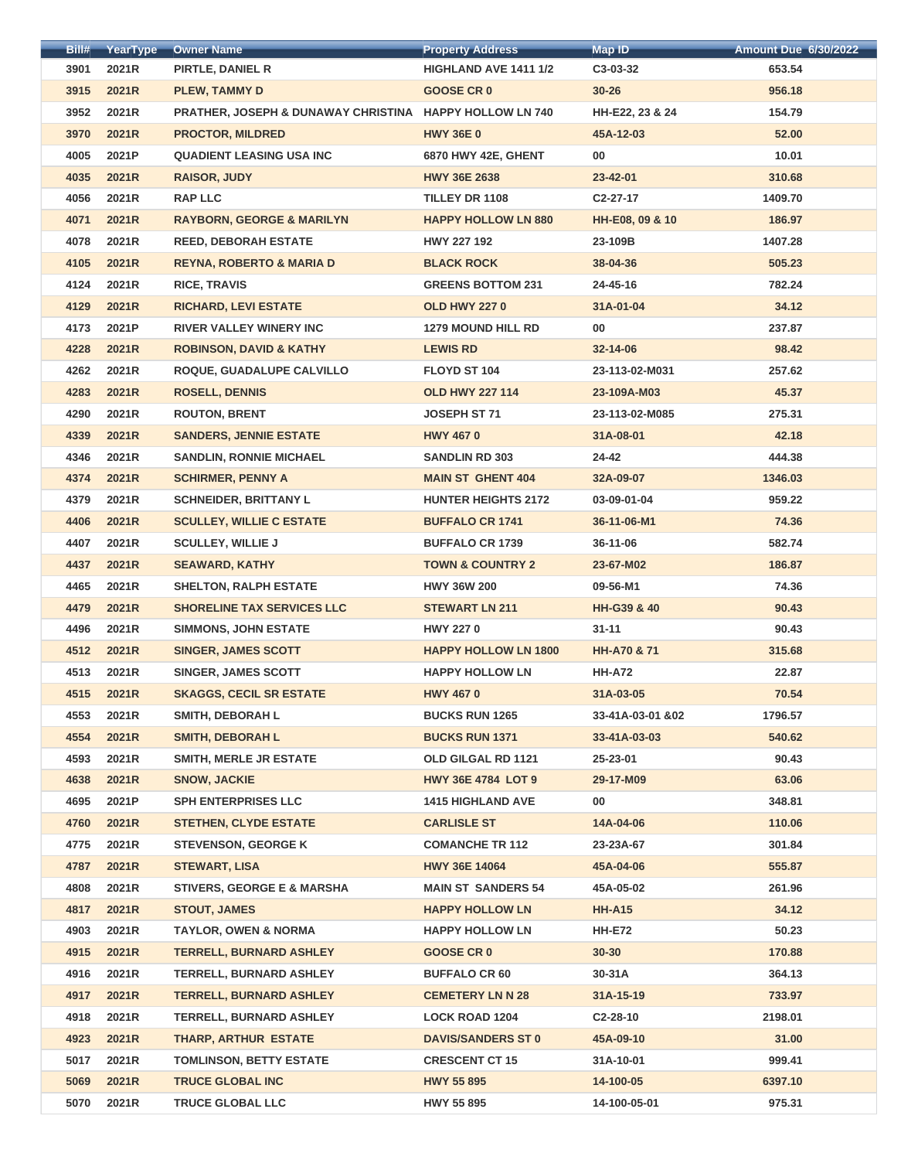| Bill# | YearType | <b>Owner Name</b>                                       | <b>Property Address</b>     | <b>Map ID</b>          | <b>Amount Due 6/30/2022</b> |
|-------|----------|---------------------------------------------------------|-----------------------------|------------------------|-----------------------------|
| 3901  | 2021R    | PIRTLE, DANIEL R                                        | HIGHLAND AVE 1411 1/2       | C3-03-32               | 653.54                      |
| 3915  | 2021R    | <b>PLEW, TAMMY D</b>                                    | <b>GOOSE CR 0</b>           | $30 - 26$              | 956.18                      |
| 3952  | 2021R    | PRATHER, JOSEPH & DUNAWAY CHRISTINA HAPPY HOLLOW LN 740 |                             | HH-E22, 23 & 24        | 154.79                      |
| 3970  | 2021R    | <b>PROCTOR, MILDRED</b>                                 | <b>HWY 36E 0</b>            | 45A-12-03              | 52.00                       |
| 4005  | 2021P    | <b>QUADIENT LEASING USA INC</b>                         | 6870 HWY 42E, GHENT         | 00                     | 10.01                       |
| 4035  | 2021R    | <b>RAISOR, JUDY</b>                                     | <b>HWY 36E 2638</b>         | $23 - 42 - 01$         | 310.68                      |
| 4056  | 2021R    | <b>RAP LLC</b>                                          | <b>TILLEY DR 1108</b>       | C <sub>2</sub> -27-17  | 1409.70                     |
| 4071  | 2021R    | <b>RAYBORN, GEORGE &amp; MARILYN</b>                    | <b>HAPPY HOLLOW LN 880</b>  | HH-E08, 09 & 10        | 186.97                      |
| 4078  | 2021R    | <b>REED, DEBORAH ESTATE</b>                             | <b>HWY 227 192</b>          | 23-109B                | 1407.28                     |
| 4105  | 2021R    | <b>REYNA, ROBERTO &amp; MARIA D</b>                     | <b>BLACK ROCK</b>           | 38-04-36               | 505.23                      |
| 4124  | 2021R    | <b>RICE, TRAVIS</b>                                     | <b>GREENS BOTTOM 231</b>    | 24-45-16               | 782.24                      |
| 4129  | 2021R    | <b>RICHARD, LEVI ESTATE</b>                             | <b>OLD HWY 2270</b>         | 31A-01-04              | 34.12                       |
| 4173  | 2021P    | <b>RIVER VALLEY WINERY INC</b>                          | <b>1279 MOUND HILL RD</b>   | 00                     | 237.87                      |
| 4228  | 2021R    | <b>ROBINSON, DAVID &amp; KATHY</b>                      | <b>LEWIS RD</b>             | $32 - 14 - 06$         | 98.42                       |
|       |          |                                                         |                             |                        |                             |
| 4262  | 2021R    | ROQUE, GUADALUPE CALVILLO                               | FLOYD ST 104                | 23-113-02-M031         | 257.62                      |
| 4283  | 2021R    | <b>ROSELL, DENNIS</b>                                   | <b>OLD HWY 227 114</b>      | 23-109A-M03            | 45.37                       |
| 4290  | 2021R    | <b>ROUTON, BRENT</b>                                    | JOSEPH ST 71                | 23-113-02-M085         | 275.31                      |
| 4339  | 2021R    | <b>SANDERS, JENNIE ESTATE</b>                           | <b>HWY 4670</b>             | 31A-08-01              | 42.18                       |
| 4346  | 2021R    | <b>SANDLIN, RONNIE MICHAEL</b>                          | <b>SANDLIN RD 303</b>       | 24-42                  | 444.38                      |
| 4374  | 2021R    | <b>SCHIRMER, PENNY A</b>                                | <b>MAIN ST GHENT 404</b>    | 32A-09-07              | 1346.03                     |
| 4379  | 2021R    | <b>SCHNEIDER, BRITTANY L</b>                            | <b>HUNTER HEIGHTS 2172</b>  | 03-09-01-04            | 959.22                      |
| 4406  | 2021R    | <b>SCULLEY, WILLIE C ESTATE</b>                         | <b>BUFFALO CR 1741</b>      | 36-11-06-M1            | 74.36                       |
| 4407  | 2021R    | <b>SCULLEY, WILLIE J</b>                                | <b>BUFFALO CR 1739</b>      | $36 - 11 - 06$         | 582.74                      |
| 4437  | 2021R    | <b>SEAWARD, KATHY</b>                                   | <b>TOWN &amp; COUNTRY 2</b> | 23-67-M02              | 186.87                      |
| 4465  | 2021R    | <b>SHELTON, RALPH ESTATE</b>                            | <b>HWY 36W 200</b>          | 09-56-M1               | 74.36                       |
| 4479  | 2021R    | <b>SHORELINE TAX SERVICES LLC</b>                       | <b>STEWART LN 211</b>       | <b>HH-G39 &amp; 40</b> | 90.43                       |
| 4496  | 2021R    | <b>SIMMONS, JOHN ESTATE</b>                             | <b>HWY 2270</b>             | $31 - 11$              | 90.43                       |
| 4512  | 2021R    | <b>SINGER, JAMES SCOTT</b>                              | <b>HAPPY HOLLOW LN 1800</b> | <b>HH-A70 &amp; 71</b> | 315.68                      |
| 4513  | 2021R    | <b>SINGER, JAMES SCOTT</b>                              | <b>HAPPY HOLLOW LN</b>      | <b>HH-A72</b>          | 22.87                       |
| 4515  | 2021R    | <b>SKAGGS, CECIL SR ESTATE</b>                          | <b>HWY 4670</b>             | 31A-03-05              | 70.54                       |
| 4553  | 2021R    | <b>SMITH, DEBORAH L</b>                                 | <b>BUCKS RUN 1265</b>       | 33-41A-03-01 & 02      | 1796.57                     |
| 4554  | 2021R    | <b>SMITH, DEBORAH L</b>                                 | <b>BUCKS RUN 1371</b>       | 33-41A-03-03           | 540.62                      |
| 4593  | 2021R    | <b>SMITH, MERLE JR ESTATE</b>                           | OLD GILGAL RD 1121          | 25-23-01               | 90.43                       |
| 4638  | 2021R    | <b>SNOW, JACKIE</b>                                     | <b>HWY 36E 4784 LOT 9</b>   | 29-17-M09              | 63.06                       |
| 4695  | 2021P    | <b>SPH ENTERPRISES LLC</b>                              | <b>1415 HIGHLAND AVE</b>    | 00                     | 348.81                      |
| 4760  | 2021R    | <b>STETHEN, CLYDE ESTATE</b>                            | <b>CARLISLE ST</b>          | 14A-04-06              | 110.06                      |
| 4775  | 2021R    | <b>STEVENSON, GEORGE K</b>                              | <b>COMANCHE TR 112</b>      | 23-23A-67              | 301.84                      |
| 4787  | 2021R    | <b>STEWART, LISA</b>                                    | <b>HWY 36E 14064</b>        | 45A-04-06              | 555.87                      |
| 4808  | 2021R    | <b>STIVERS, GEORGE E &amp; MARSHA</b>                   | <b>MAIN ST SANDERS 54</b>   | 45A-05-02              | 261.96                      |
| 4817  | 2021R    | <b>STOUT, JAMES</b>                                     | <b>HAPPY HOLLOW LN</b>      | <b>HH-A15</b>          | 34.12                       |
| 4903  | 2021R    | <b>TAYLOR, OWEN &amp; NORMA</b>                         | <b>HAPPY HOLLOW LN</b>      | <b>HH-E72</b>          | 50.23                       |
| 4915  | 2021R    | <b>TERRELL, BURNARD ASHLEY</b>                          | <b>GOOSE CR 0</b>           | $30 - 30$              | 170.88                      |
| 4916  | 2021R    | <b>TERRELL, BURNARD ASHLEY</b>                          | <b>BUFFALO CR 60</b>        | 30-31A                 | 364.13                      |
| 4917  | 2021R    | <b>TERRELL, BURNARD ASHLEY</b>                          | <b>CEMETERY LN N 28</b>     | $31A-15-19$            | 733.97                      |
| 4918  | 2021R    | <b>TERRELL, BURNARD ASHLEY</b>                          | <b>LOCK ROAD 1204</b>       | C2-28-10               | 2198.01                     |
| 4923  | 2021R    | <b>THARP, ARTHUR ESTATE</b>                             | <b>DAVIS/SANDERS ST 0</b>   | 45A-09-10              | 31.00                       |
| 5017  | 2021R    | <b>TOMLINSON, BETTY ESTATE</b>                          | <b>CRESCENT CT 15</b>       | 31A-10-01              | 999.41                      |
| 5069  | 2021R    | <b>TRUCE GLOBAL INC</b>                                 | <b>HWY 55 895</b>           | 14-100-05              | 6397.10                     |
| 5070  | 2021R    | <b>TRUCE GLOBAL LLC</b>                                 | HWY 55 895                  | 14-100-05-01           | 975.31                      |
|       |          |                                                         |                             |                        |                             |